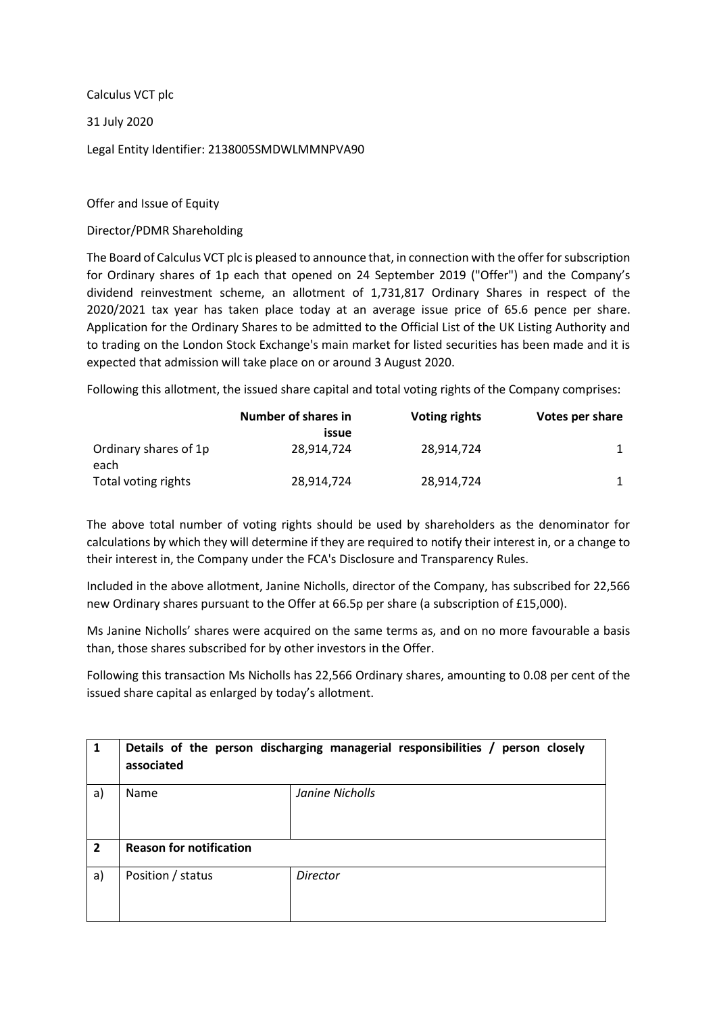Calculus VCT plc 31 July 2020 Legal Entity Identifier: 2138005SMDWLMMNPVA90

Offer and Issue of Equity

Director/PDMR Shareholding

The Board of Calculus VCT plc is pleased to announce that, in connection with the offer for subscription for Ordinary shares of 1p each that opened on 24 September 2019 ("Offer") and the Company's dividend reinvestment scheme, an allotment of 1,731,817 Ordinary Shares in respect of the 2020/2021 tax year has taken place today at an average issue price of 65.6 pence per share. Application for the Ordinary Shares to be admitted to the Official List of the UK Listing Authority and to trading on the London Stock Exchange's main market for listed securities has been made and it is expected that admission will take place on or around 3 August 2020.

Following this allotment, the issued share capital and total voting rights of the Company comprises:

|                               | Number of shares in<br>issue | <b>Voting rights</b> | Votes per share |
|-------------------------------|------------------------------|----------------------|-----------------|
| Ordinary shares of 1p<br>each | 28.914.724                   | 28.914.724           |                 |
| Total voting rights           | 28,914,724                   | 28,914,724           |                 |

The above total number of voting rights should be used by shareholders as the denominator for calculations by which they will determine if they are required to notify their interest in, or a change to their interest in, the Company under the FCA's Disclosure and Transparency Rules.

Included in the above allotment, Janine Nicholls, director of the Company, has subscribed for 22,566 new Ordinary shares pursuant to the Offer at 66.5p per share (a subscription of £15,000).

Ms Janine Nicholls' shares were acquired on the same terms as, and on no more favourable a basis than, those shares subscribed for by other investors in the Offer.

Following this transaction Ms Nicholls has 22,566 Ordinary shares, amounting to 0.08 per cent of the issued share capital as enlarged by today's allotment.

| $\mathbf{1}$   | associated                     | Details of the person discharging managerial responsibilities / person closely |  |
|----------------|--------------------------------|--------------------------------------------------------------------------------|--|
| a)             | Name                           | Janine Nicholls                                                                |  |
| $\overline{2}$ | <b>Reason for notification</b> |                                                                                |  |
| a)             | Position / status              | <b>Director</b>                                                                |  |